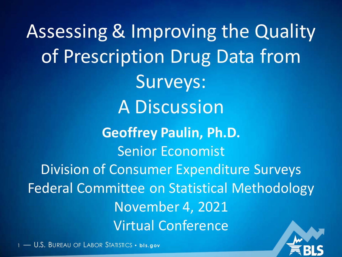Assessing & Improving the Quality of Prescription Drug Data from Surveys: A Discussion **Geoffrey Paulin, Ph.D.** Senior Economist Division of Consumer Expenditure Surveys Federal Committee on Statistical Methodology November 4, 2021 Virtual Conference

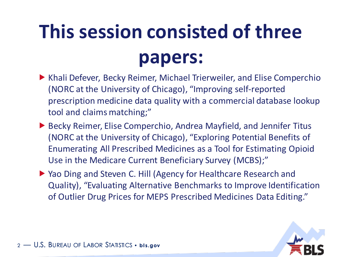# **This session consisted of three papers:**

- ▶ Khali Defever, Becky Reimer, Michael Trierweiler, and Elise Comperchio (NORC at the University of Chicago), "Improving self-reported prescription medicine data quality with a commercial database lookup tool and claims matching;"
- ▶ Becky Reimer, Elise Comperchio, Andrea Mayfield, and Jennifer Titus (NORC at the University of Chicago), "Exploring Potential Benefits of Enumerating All Prescribed Medicines as a Tool for Estimating Opioid Use in the Medicare Current Beneficiary Survey (MCBS);"
- ▶ Yao Ding and Steven C. Hill (Agency for Healthcare Research and Quality), "Evaluating Alternative Benchmarks to Improve Identification of Outlier Drug Prices for MEPS Prescribed Medicines Data Editing."

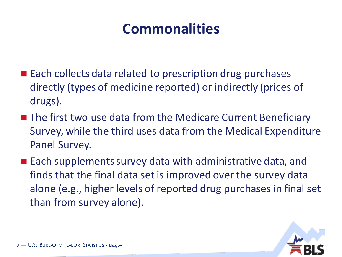#### **Commonalities**

- Each collects data related to prescription drug purchases directly (types of medicine reported) or indirectly (prices of drugs).
- The first two use data from the Medicare Current Beneficiary Survey, while the third uses data from the Medical Expenditure Panel Survey.
- Each supplements survey data with administrative data, and finds that the final data set is improved over the survey data alone (e.g., higher levels of reported drug purchases in final set than from survey alone).

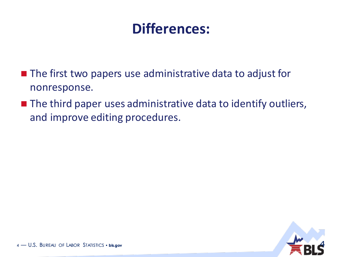#### **Differences:**

- The first two papers use administrative data to adjust for nonresponse.
- The third paper uses administrative data to identify outliers, and improve editing procedures.

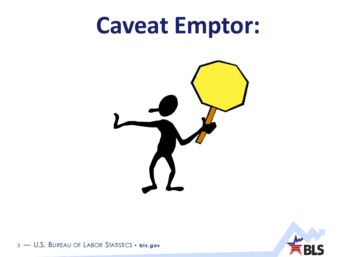# **Caveat Emptor:**





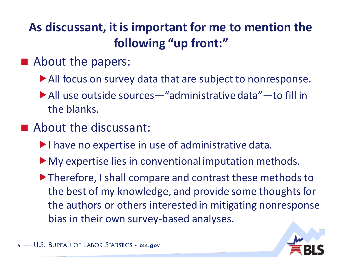#### **As discussant, it is important for me to mention the following "up front:"**

- About the papers:
	- All focus on survey data that are subject to nonresponse.
	- All use outside sources—"administrative data"—to fill in the blanks.
- About the discussant:
	- I have no expertise in use of administrative data.
	- My expertise lies in conventional imputation methods.
	- ▶ Therefore, I shall compare and contrast these methods to the best of my knowledge, and provide some thoughts for the authors or others interested in mitigating nonresponse bias in their own survey-based analyses.

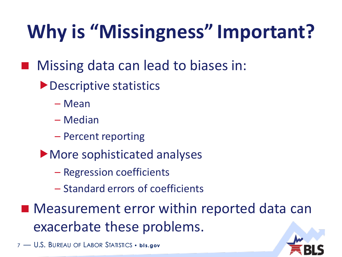# **Why is "Missingness" Important?**

- Missing data can lead to biases in:
	- ▶ Descriptive statistics
		- Mean
		- Median
		- Percent reporting
	- More sophisticated analyses
		- Regression coefficients
		- Standard errors of coefficients
- Measurement error within reported data can exacerbate these problems.

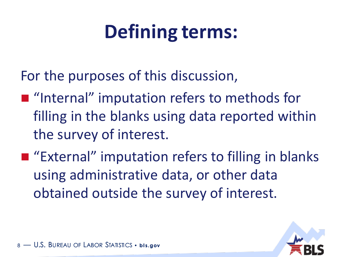# **Defining terms:**

For the purposes of this discussion,

- "Internal" imputation refers to methods for filling in the blanks using data reported within the survey of interest.
- "External" imputation refers to filling in blanks using administrative data, or other data obtained outside the survey of interest.

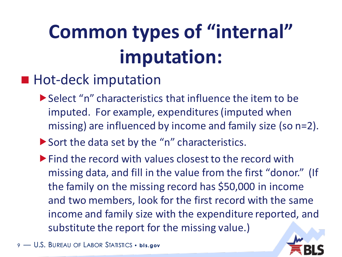# **Common types of "internal" imputation:**

#### ■ Hot-deck imputation

- Select "n" characteristics that influence the item to be imputed. For example, expenditures (imputed when missing) are influenced by income and family size (so n=2).
- Sort the data set by the "n" characteristics.
- **Find the record with values closest to the record with** missing data, and fill in the value from the first "donor." (If the family on the missing record has \$50,000 in income and two members, look for the first record with the same income and family size with the expenditure reported, and substitute the report for the missing value.)

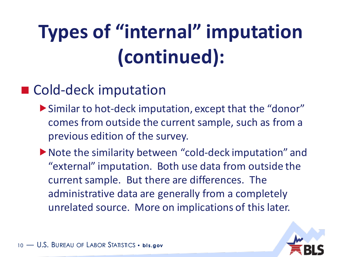# **Types of "internal" imputation (continued):**

#### ■ Cold-deck imputation

- Similar to hot-deck imputation, except that the "donor" comes from outside the current sample, such as from a previous edition of the survey.
- Note the similarity between "cold-deck imputation" and "external" imputation. Both use data from outside the current sample. But there are differences. The administrative data are generally from a completely unrelated source. More on implications of this later.

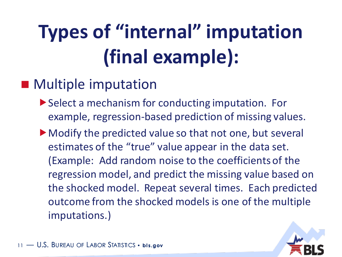# **Types of "internal" imputation (final example):**

#### ■ Multiple imputation

- ▶ Select a mechanism for conducting imputation. For example, regression-based prediction of missing values.
- Modify the predicted value so that not one, but several estimates of the "true" value appear in the data set. (Example: Add random noise to the coefficients of the regression model, and predict the missing value based on the shocked model. Repeat several times. Each predicted outcome from the shocked models is one of the multiple imputations.)



 $-$  U.S. Bureau of Labor Statistics • **bis.gov**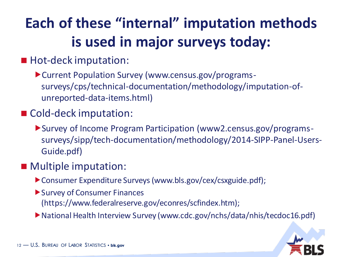#### **Each of these "internal" imputation methods is used in major surveys today:**

#### ■ Hot-deck imputation:

Current Population Survey (www.census.gov/programssurveys/cps/technical-documentation/methodology/imputation-ofunreported-data-items.html)

#### ■ Cold-deck imputation:

Survey of Income Program Participation (www2.census.gov/programssurveys/sipp/tech-documentation/methodology/2014-SIPP-Panel-Users-Guide.pdf)

#### ■ Multiple imputation:

- Consumer Expenditure Surveys (www.bls.gov/cex/csxguide.pdf);
- ▶ Survey of Consumer Finances (https://www.federalreserve.gov/econres/scfindex.htm);
- National Health Interview Survey (www.cdc.gov/nchs/data/nhis/tecdoc16.pdf)

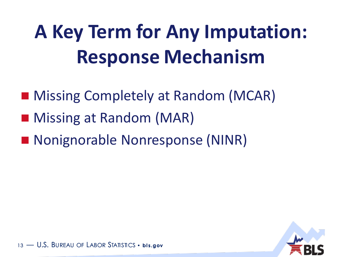# **A Key Term for Any Imputation: Response Mechanism**

- Missing Completely at Random (MCAR)
- Missing at Random (MAR)
- Nonignorable Nonresponse (NINR)

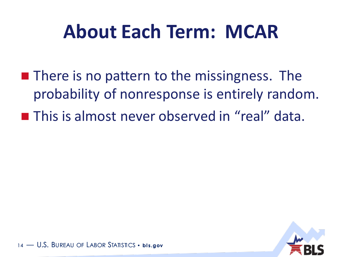## **About Each Term: MCAR**

■ There is no pattern to the missingness. The probability of nonresponse is entirely random. ■ This is almost never observed in "real" data.

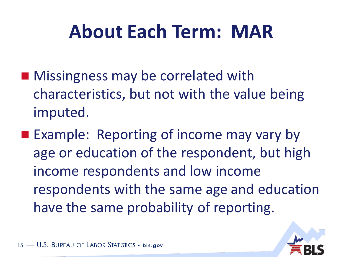## **About Each Term: MAR**

- Missingness may be correlated with characteristics, but not with the value being imputed.
- Example: Reporting of income may vary by age or education of the respondent, but high income respondents and low income respondents with the same age and education have the same probability of reporting.

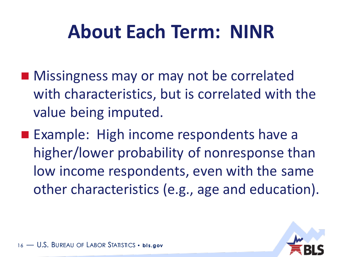## **About Each Term: NINR**

- Missingness may or may not be correlated with characteristics, but is correlated with the value being imputed.
- Example: High income respondents have a higher/lower probability of nonresponse than low income respondents, even with the same other characteristics (e.g., age and education).

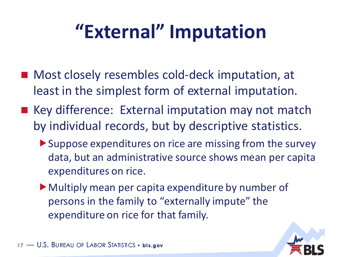## **"External" Imputation**

- Most closely resembles cold-deck imputation, at least in the simplest form of external imputation.
- Key difference: External imputation may not match by individual records, but by descriptive statistics.
	- Suppose expenditures on rice are missing from the survey data, but an administrative source shows mean per capita expenditures on rice.
	- Multiply mean per capita expenditure by number of persons in the family to "externally impute" the expenditure on rice for that family.

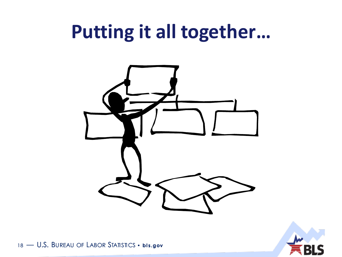## **Putting it all together…**



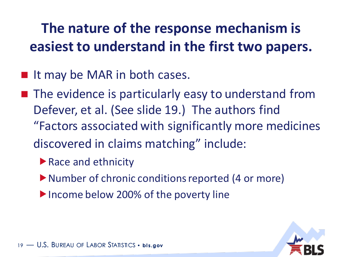#### **The nature of the response mechanism is easiest to understand in the first two papers.**

- It may be MAR in both cases.
- The evidence is particularly easy to understand from Defever, et al. (See slide 19.) The authors find "Factors associated with significantly more medicines discovered in claims matching" include:
	- ▶ Race and ethnicity
	- ▶ Number of chronic conditions reported (4 or more)
	- Income below 200% of the poverty line

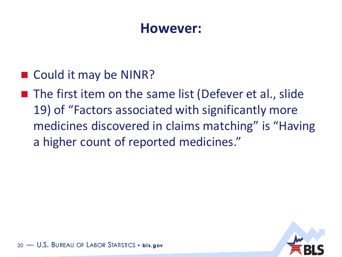#### **However:**

■ Could it may be NINR?

 $\blacksquare$  The first item on the same list (Defever et al., slide 19) of "Factors associated with significantly more medicines discovered in claims matching" is "Having a higher count of reported medicines."

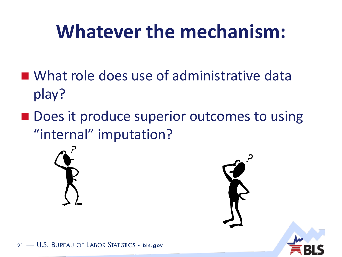## **Whatever the mechanism:**

- What role does use of administrative data play?
- Does it produce superior outcomes to using "internal" imputation?



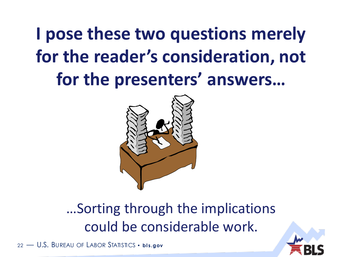## **I pose these two questions merely for the reader's consideration, not for the presenters' answers…**



#### …Sorting through the implications could be considerable work.

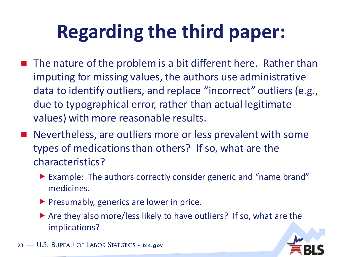# **Regarding the third paper:**

- The nature of the problem is a bit different here. Rather than imputing for missing values, the authors use administrative data to identify outliers, and replace "incorrect" outliers (e.g., due to typographical error, rather than actual legitimate values) with more reasonable results.
- Nevertheless, are outliers more or less prevalent with some types of medications than others? If so, what are the characteristics?
	- Example: The authors correctly consider generic and "name brand" medicines.
	- $\blacktriangleright$  Presumably, generics are lower in price.
	- ▶ Are they also more/less likely to have outliers? If so, what are the implications?

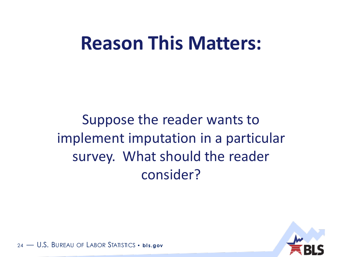### **Reason This Matters:**

Suppose the reader wants to implement imputation in a particular survey. What should the reader consider?

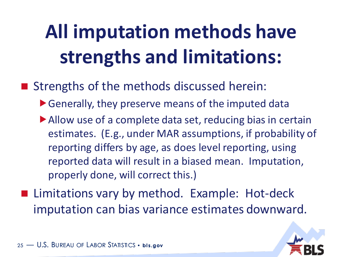# **All imputation methods have strengths and limitations:**

■ Strengths of the methods discussed herein:

- Generally, they preserve means of the imputed data
- Allow use of a complete data set, reducing bias in certain estimates. (E.g., under MAR assumptions, if probability of reporting differs by age, as does level reporting, using reported data will result in a biased mean. Imputation, properly done, will correct this.)
- Limitations vary by method. Example: Hot-deck imputation can bias variance estimates downward.

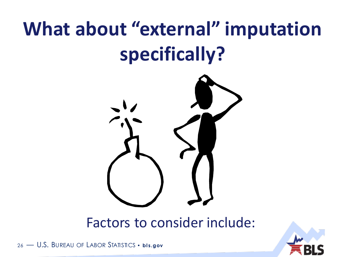# **What about "external" imputation specifically?**



Factors to consider include:



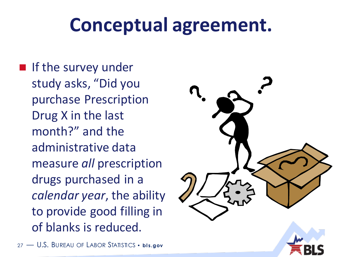## **Conceptual agreement.**

■ If the survey under study asks, "Did you purchase Prescription Drug X in the last month?" and the administrative data measure *all* prescription drugs purchased in a *calendar year*, the ability to provide good filling in of blanks is reduced.

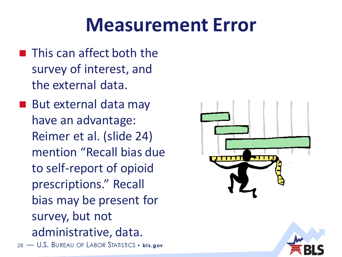## **Measurement Error**

- This can affect both the survey of interest, and the external data.
- 28 U.S. BUREAU OF LABOR STATISTICS · bis.gov ■ But external data may have an advantage: Reimer et al. (slide 24) mention "Recall bias due to self-report of opioid prescriptions." Recall bias may be present for survey, but not administrative, data.

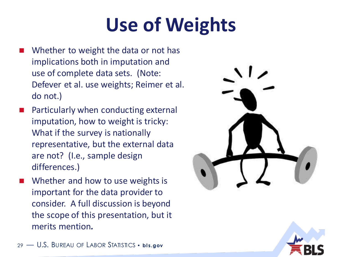# **Use of Weights**

- Whether to weight the data or not has implications both in imputation and use of complete data sets. (Note: Defever et al. use weights; Reimer et al. do not.)
- Particularly when conducting external imputation, how to weight is tricky: What if the survey is nationally representative, but the external data are not? (I.e., sample design differences.)
- Whether and how to use weights is important for the data provider to consider. A full discussion is beyond the scope of this presentation, but it merits mention*.*



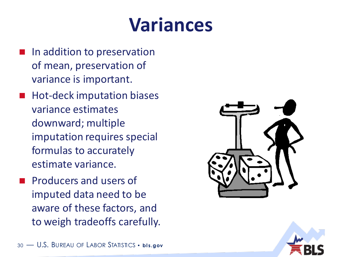## **Variances**

- In addition to preservation of mean, preservation of variance is important.
- ◼ Hot-deck imputation biases variance estimates downward; multiple imputation requires special formulas to accurately estimate variance.
- ◼ Producers and users of imputed data need to be aware of these factors, and to weigh tradeoffs carefully.



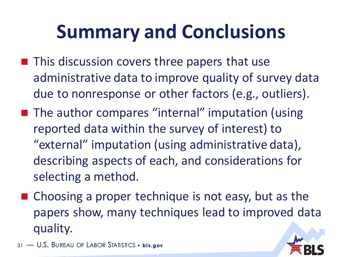## **Summary and Conclusions**

- This discussion covers three papers that use administrative data to improve quality of survey data due to nonresponse or other factors (e.g., outliers).
- The author compares "internal" imputation (using reported data within the survey of interest) to "external" imputation (using administrative data), describing aspects of each, and considerations for selecting a method.
- $\blacksquare$  Choosing a proper technique is not easy, but as the papers show, many techniques lead to improved data quality.